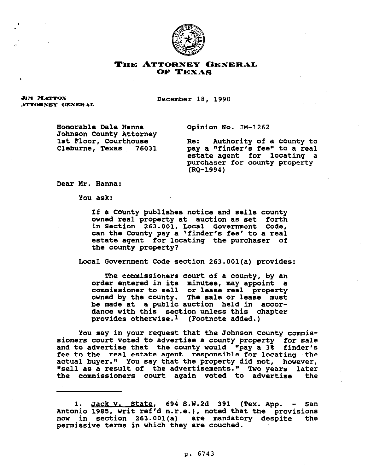

## THE ATTORNEY GENERAL OF TEXAS

**JIM MATTOX** ATTORNEY GENERAL December 18, 1990

Honorable Dale Wanna Johnson County Attorney 1st Floor, Courthouse Cleburne, Texas 76031 Opinion No. JM-1262

Re: Authority of a county to pay a "finder's fee" to a real estate agent for locating a purchaser for county property (RQ-1994)

Dear Mr. Hanna:

You ask:

If a County publishes notice and sells county **owned** real property at auction as set forth in Section 263.001, Local Government Code, can the County pay a \*finder's fee' to a real estate agent **for** locating the purchaser of the county property?

Local Government Code section 263.001(a) provides:

The *commissioners* court of a county, **by an**  order entered in its minutes, may appoint a commissioner to sell or lease real property owned by the county. The sale or lease must be **made** at a public auction held in accordance with this section unless this chapter provides otherwise.1 (Footnote added.)

you say in your request that the Johnson County conmissioners court voted to advertise a county property for sale and to advertise that the county would "pay a 3% finder's fee to the real estate agent responsible for locating the actual buyer." You say that the property did not, however, "sell as a result of the advertisements." Two years later the commissioners court again voted to advertise the

1. Jack v. State, 694 S.W.2d 391 (Tex. App. - San Antonio 1985, writ ref'd n.r.e.), noted that the provisions now in section 263.001(a) are mandatory despite the permissive terms in which they *are* couched.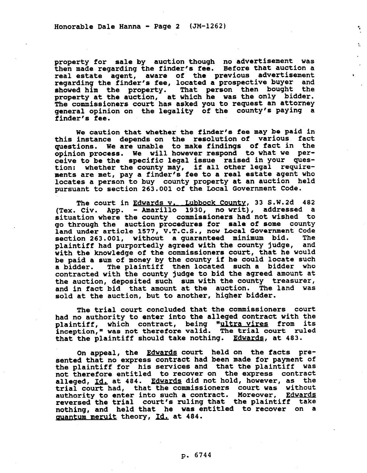property for sale by auction though no advertisement was then made regarding the finder's fee. Before that auction a real estate agent, aware of the previous advertisement regarding the finder's fee, located a prospective buyer and showed him the property. That person then bought the property at the auction, at which he was the only bidder. The commissioners court has asked you to request an attorney general opinion on the legality of the county's paying a finder's fee.

 $\tilde{\mathcal{G}}$ 

 $\mathcal{L}$ 

 $\lambda$ 

We caution that whether the finder's fee may be paid in this instance depends on the resolution of various fact questions. We are unable to make findings of fact in the opinion process. We will however respond to what we perceive to be the specific legal issue raised in **your** guestion: whether the *county may,* if all other legal reguirements are met, pay a finder's fee to a real estate agent who locates a person to buy county property at an auction held pursuant to section 263.001 of the Local Government Code.

The court in Edwards v. Lubbock County, 33 S.W.2d 482 (Tex. Civ. App. - Amarillo 1930, no writ), addressed a situation where the county commissioners had not wished to go through the auction procedures for sale of some county land under article 1577, V.T.C.S., now Local Government Code section 263.001, without a guaranteed minimum bid. The plaintiff had purportedly agreed with the county judge, and with the knowledge of the commissioners court, that he would be paid a sum of money by the county if he could locate such<br>a bidder. The plaintiff then located such a bidder who The plaintiff then located such a bidder who contracted with the county judge to bid the agreed amount at the auction, deposited such sum with the county treasurer, and in fact bid that *amount at* the auction. The land was sold at the auction, but to another, higher bidder.

The trial court concluded that the commissioners court had no authority to enter into the alleged contract with the plaintiff, which contract, being "ultra vires from its inception," was not therefore valid. The trial court ruled that the plaintiff should take nothing. Edwards, at 483.

On appeal, the Edwards court held on the facts presented that **no** express contract had been made **for** payment of the plaintiff for his services and that the plaintiff was not therefore entitled to recover on the express contract alleged, Id. at 484. Edwards did not hold, however, as the trial court had, that the commissioners court was without authority to enter into such a contract. Moreover, Edwards reversed the trial court's ruling that the plaintiff take nothing, and held that he was entitled to recover on a quantum meruit theory, Id. at 484.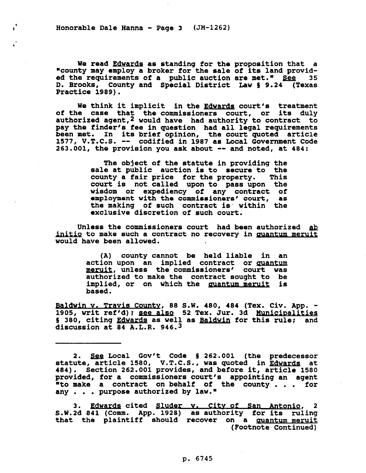Honorable Dale Hanna - Page 3 (JM-1262)

 $\mathbf{I}$ 

.

We read Edwards as standing **for** the proposition that a "county may employ a broker for the sale of its land provid-<br>ed the requirements of a public auction are met." See 35 ed the requirements of a public auction are met." See D. Brooks, County and Special District Law 5 9.24 (Texas Practice 1989).

We think it implicit in the Edwards court's treatment of the case that the commissioners court, or its duly authorized agent,<sup>2</sup> would have had authority to contract to pay the finder's fee in question had all legal requirements been **met.** In its brief opinion, the court quoted article 1577, V.T.C.S. -- codified in 1987 as Local Government Code 263.001, the **provision** you ask about -- and noted, at 404:

> The object of the statute in providing the sale at public auction is to secure to the county a fair price for the property. This county a fair price for the property. court is not called upon to pass upon the wisdom or expediency of any contract of employment with the commissioners' court, as the making of such contract is within the exclusive discretion of such court.

Unless the commissioners court had been authorized ab initio to make such a contract no recovery in quantum meruit would have been allowed.

> (A) county cannot be held liable **in** an action upon an implied contract or quantum meruit, unless the commissioners' court was authorized to make the contract sought to be implied, or on which the <u>quantum meruit</u> is based.

Baldwin v. Travis County, 88 S.W. 480, 484 (Tex. Civ. App. -1905, writ ref'd); see also 52 Tex. Jur. 3d Municipalities § 380, citing Edwards as well as Baldwin for this rule; and discussion at 84 A.L.R. 946.3

2. See Local Gov't Code § 262.001 (the predecessor statute, article 1580, V.T.C.S., was quoted in <u>Edwards</u> at 484). Section 262.001 provides, and before it, article 1580 provided, for a commissioners court's appointing an agent wto make a contract on behalf of the county . . . for any . . . purpose authorized by law."

3. <u>Edwards</u> cited <u>Sluder v. City-of San Antonio</u>, 2 S.W.Zd 841 (Comm. App. 1928) as authority for its ruling that the plaintiff should recover on a <u>quantum-meruit</u> (Footnote Continued)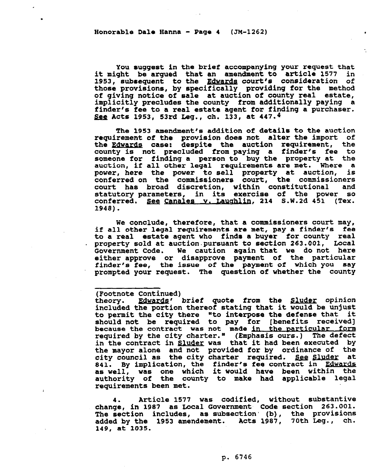## Honorable Dale Hanna - Page  $4$  (JM-1262)

.

You suggest in the brief accompanying your request that<br>ght be arqued that an amendment to article 1577 in it might be argued that an amendment to article 1577 1953, subsequent to the Edwards court's consideration of those provisions, by specifically providing for the method of giving notice of sale at auction **of** county real estate, implicitly precludes the county from additionally paying a finder's fee to a real estate agent for finding a purchaser. See Acts 1953, 53rd Leg., ch. 133, at 447.4

The 1953 amendment's addition of details to the auction requirement of the provision does not alter the import **of**  the Edwards case: despite the auction requirement, the county is not precluded from paying a finder's fee to someone for finding a person to buy the property at the auction, if all other legal requirements are met. Where a auction, if all other legal requirements are met. Where a power, here the power to sell property at auction, is conferred on the commissioners court, the commissioners court has broad discretion, within constitutional and statutory parameters, in its exercise of the power so conferred. See Canales v. Laughlin, 214 S.W.2d 451 (Tex. 1948).

We conclude, therefore, that a commissioners court may, if all other legal requirements are met, pay a finder's fee to a real estate agent who finds a buyer for county real property sold at auction.pursuant to section 263.001, Local Government Code. We caution again that we do not here either approve or disapprove payment of the particular finder's fee, the issue of the payment **of** which you say prompted your request. The question of whether the county

## (Footnote Continued)

theory. Edwards' brief quote from the Sluder opinion included the portion thereof stating that it would be unjust to permit the city there "to interpose the defense that it should not be required to pay for [benefits received] because the contract was not made in the particular form required by the city charter." (Emphasis ours.) The defect in the contract in <u>Sluder</u> was that it had been executed by the mayor alone and not provided for by ordinance of the city council as the city charter required. <u>See Sluder</u> at 841. By implication, the finder's fee contract in Edwards .as well, was one which it would have been within the<br>subbouter of the country to make had applicable local authority **of** the county to make had applicable legal requirements been met.

**4. Article 1577** was codified, without substantive change, **in** 1987 as Local Government Code section 263.001. The section includes, as subsection (b), the provisions added by the 1953 amendement. Acts 1987, 70th Leg., ch. 149, at 1035.